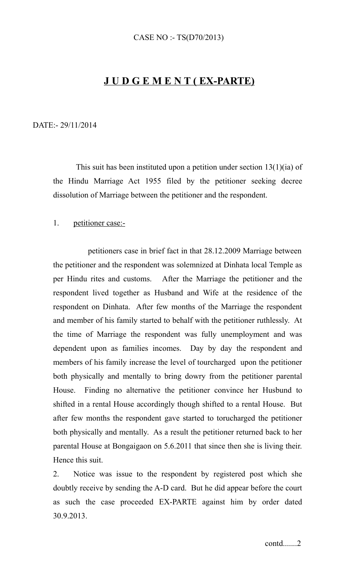## **J U D G E M E N T ( EX-PARTE)**

## DATE:- 29/11/2014

 This suit has been instituted upon a petition under section 13(1)(ia) of the Hindu Marriage Act 1955 filed by the petitioner seeking decree dissolution of Marriage between the petitioner and the respondent.

## 1. petitioner case:-

 petitioners case in brief fact in that 28.12.2009 Marriage between the petitioner and the respondent was solemnized at Dinhata local Temple as per Hindu rites and customs. After the Marriage the petitioner and the respondent lived together as Husband and Wife at the residence of the respondent on Dinhata. After few months of the Marriage the respondent and member of his family started to behalf with the petitioner ruthlessly. At the time of Marriage the respondent was fully unemployment and was dependent upon as families incomes. Day by day the respondent and members of his family increase the level of tourcharged upon the petitioner both physically and mentally to bring dowry from the petitioner parental House. Finding no alternative the petitioner convince her Husbund to shifted in a rental House accordingly though shifted to a rental House. But after few months the respondent gave started to torucharged the petitioner both physically and mentally. As a result the petitioner returned back to her parental House at Bongaigaon on 5.6.2011 that since then she is living their. Hence this suit.

2. Notice was issue to the respondent by registered post which she doubtly receive by sending the A-D card. But he did appear before the court as such the case proceeded EX-PARTE against him by order dated 30.9.2013.